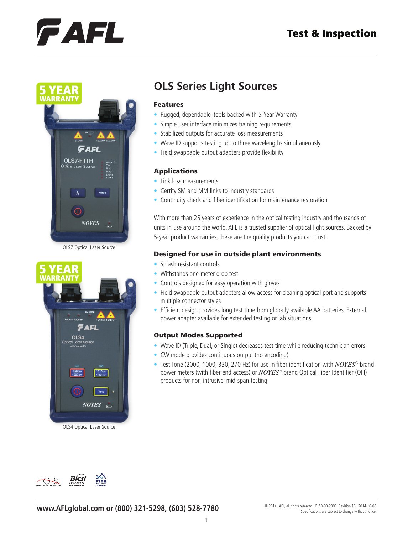## **Test & Inspection**

# FAFL



OLS7 Optical Laser Source



OLS4 Optical Laser Source

# **OLS Series Light Sources**

#### Features

- Rugged, dependable, tools backed with 5-Year Warranty
- Simple user interface minimizes training requirements
- Stabilized outputs for accurate loss measurements
- Wave ID supports testing up to three wavelengths simultaneously
- Field swappable output adapters provide flexibility

### Applications

- Link loss measurements
- Certify SM and MM links to industry standards
- Continuity check and fiber identification for maintenance restoration

With more than 25 years of experience in the optical testing industry and thousands of units in use around the world, AFL is a trusted supplier of optical light sources. Backed by 5-year product warranties, these are the quality products you can trust.

#### Designed for use in outside plant environments

- Splash resistant controls
- Withstands one-meter drop test
- Controls designed for easy operation with gloves
- Field swappable output adapters allow access for cleaning optical port and supports multiple connector styles
- Efficient design provides long test time from globally available AA batteries. External power adapter available for extended testing or lab situations.

#### Output Modes Supported

- Wave ID (Triple, Dual, or Single) decreases test time while reducing technician errors
- CW mode provides continuous output (no encoding)
- Test Tone (2000, 1000, 330, 270 Hz) for use in fiber identification with *NOYES*® brand power meters (with fiber end access) or *NOYES*® brand Optical Fiber Identifier (OFI) products for non-intrusive, mid-span testing



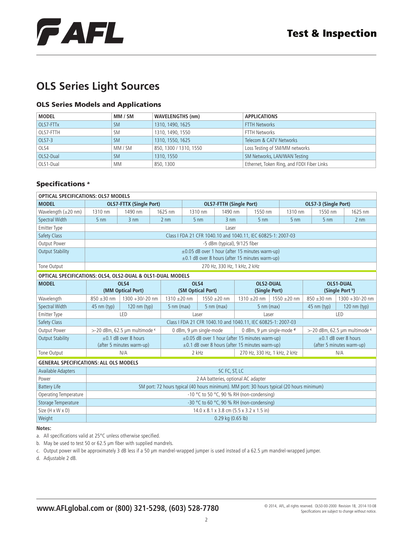

# **OLS Series Light Sources**

## OLS Series Models and Applications

| <b>MODEL</b> | MM / SM   | <b>WAVELENGTHS (nm)</b> | <b>APPLICATIONS</b>                        |
|--------------|-----------|-------------------------|--------------------------------------------|
| OLS7-FTTx    | <b>SM</b> | 1310, 1490, 1625        | <b>FTTH Networks</b>                       |
| OLS7-FTTH    | SM        | 1310, 1490, 1550        | <b>FTTH Networks</b>                       |
| OLS7-3       | <b>SM</b> | 1310, 1550, 1625        | Telecom & CATV Networks                    |
| OLS4         | MM / SM   | 850, 1300 / 1310, 1550  | Loss Testing of SM/MM networks             |
| OLS2-Dual    | <b>SM</b> | 1310, 1550              | SM Networks, LAN/WAN Testing               |
| OLS1-Dual    | MМ        | 850, 1300               | Ethernet, Token Ring, and FDDI Fiber Links |

### Specifications<sup>a</sup>

| <b>OPTICAL SPECIFICATIONS: OLS7 MODELS</b>                 |                                                                                                                |                                |                      |                                |                                                              |                  |                      |                           |                      |                               |                               |  |
|------------------------------------------------------------|----------------------------------------------------------------------------------------------------------------|--------------------------------|----------------------|--------------------------------|--------------------------------------------------------------|------------------|----------------------|---------------------------|----------------------|-------------------------------|-------------------------------|--|
| <b>MODEL</b>                                               |                                                                                                                | <b>OLS7-FTTX (Single Port)</b> |                      | <b>OLS7-FTTH (Single Port)</b> |                                                              |                  |                      |                           | OLS7-3 (Single Port) |                               |                               |  |
| Wavelength (±20 nm)                                        | 1310 nm                                                                                                        | 1490 nm                        | 1625 nm              | 1310 nm                        |                                                              | 1490 nm          | 1550 nm              | 1310 nm                   | 1550 nm              |                               | 1625 nm                       |  |
| <b>Spectral Width</b>                                      | $5 \text{ nm}$                                                                                                 | $3 \text{ nm}$                 | $2 \text{ nm}$       | $5 \text{ nm}$                 |                                                              | $3 \text{ nm}$   | 5 <sub>nm</sub>      | $5 \text{ nm}$            | $5 \text{ nm}$       |                               | $2 \text{ nm}$                |  |
| <b>Emitter Type</b>                                        | Laser                                                                                                          |                                |                      |                                |                                                              |                  |                      |                           |                      |                               |                               |  |
| Safety Class                                               | Class I FDA 21 CFR 1040.10 and 1040.11, IEC 60825-1: 2007-03                                                   |                                |                      |                                |                                                              |                  |                      |                           |                      |                               |                               |  |
| Output Power                                               |                                                                                                                | -5 dBm (typical), 9/125 fiber  |                      |                                |                                                              |                  |                      |                           |                      |                               |                               |  |
| <b>Output Stability</b>                                    | $\pm 0.05$ dB over 1 hour (after 15 minutes warm-up)<br>$\pm$ 0.1 dB over 8 hours (after 15 minutes warm-up)   |                                |                      |                                |                                                              |                  |                      |                           |                      |                               |                               |  |
| Tone Output                                                |                                                                                                                | 270 Hz, 330 Hz, 1 kHz, 2 kHz   |                      |                                |                                                              |                  |                      |                           |                      |                               |                               |  |
| OPTICAL SPECIFICATIONS: OLS4, OLS2-DUAL & OLS1-DUAL MODELS |                                                                                                                |                                |                      |                                |                                                              |                  |                      |                           |                      |                               |                               |  |
| <b>MODEL</b>                                               | OLS4                                                                                                           |                                | OLS4                 |                                |                                                              | <b>OLS2-DUAL</b> |                      | <b>OLS1-DUAL</b>          |                      |                               |                               |  |
|                                                            |                                                                                                                | (MM Optical Port)              |                      | (SM Optical Port)              |                                                              |                  | (Single Port)        |                           |                      | (Single Port b)               |                               |  |
| Wavelength                                                 | $850 + 30$ nm                                                                                                  | $1300 + 30/-20$ nm             | $1310 \pm 20$ nm     |                                | $1550 \pm 20$ nm                                             |                  | $1310 \pm 20$ nm     | $1550 \pm 20$ nm          | $850 \pm 30$ nm      |                               | $1300 + 30/-20$ nm            |  |
| <b>Spectral Width</b>                                      | $45$ nm (typ)                                                                                                  | $120 \text{ nm (typ)}$         | $5 \text{ nm}$ (max) |                                | $5 \text{ nm}$ (max)                                         |                  | $5 \text{ nm}$ (max) |                           |                      | $45$ nm (typ)<br>120 nm (typ) |                               |  |
| <b>Emitter Type</b>                                        |                                                                                                                | LED                            |                      | Laser                          |                                                              |                  | Laser                |                           | LED                  |                               |                               |  |
| <b>Safety Class</b>                                        |                                                                                                                |                                |                      |                                | Class I FDA 21 CFR 1040.10 and 1040.11, IEC 60825-1: 2007-03 |                  |                      |                           |                      |                               |                               |  |
| Output Power                                               |                                                                                                                | >-20 dBm, 62.5 µm multimode c  |                      |                                | 0 dBm, 9 µm single-mode                                      |                  |                      | 0 dBm, 9 µm single-mode d |                      |                               | >-20 dBm, 62.5 µm multimode c |  |
| <b>Output Stability</b>                                    |                                                                                                                | $\pm 0.1$ dB over 8 hours      |                      |                                | $\pm 0.05$ dB over 1 hour (after 15 minutes warm-up)         |                  |                      |                           |                      |                               | $+0.1$ dB over 8 hours        |  |
|                                                            | $\pm$ 0.1 dB over 8 hours (after 15 minutes warm-up)<br>(after 5 minutes warm-up)<br>(after 5 minutes warm-up) |                                |                      |                                |                                                              |                  |                      |                           |                      |                               |                               |  |
| Tone Output                                                | N/A<br>2 kHz<br>270 Hz, 330 Hz, 1 kHz, 2 kHz<br>N/A                                                            |                                |                      |                                |                                                              |                  |                      |                           |                      |                               |                               |  |
| <b>GENERAL SPECIFICATIONS: ALL OLS MODELS</b>              |                                                                                                                |                                |                      |                                |                                                              |                  |                      |                           |                      |                               |                               |  |
| <b>Available Adapters</b>                                  | SC FC, ST, LC                                                                                                  |                                |                      |                                |                                                              |                  |                      |                           |                      |                               |                               |  |
| Power                                                      | 2 AA batteries, optional AC adapter                                                                            |                                |                      |                                |                                                              |                  |                      |                           |                      |                               |                               |  |
| <b>Battery Life</b>                                        | SM port: 72 hours typical (40 hours minimum). MM port: 30 hours typical (20 hours minimum)                     |                                |                      |                                |                                                              |                  |                      |                           |                      |                               |                               |  |
| <b>Operating Temperature</b>                               | -10 °C to 50 °C, 90 % RH (non-condensing)                                                                      |                                |                      |                                |                                                              |                  |                      |                           |                      |                               |                               |  |
| Storage Temperature                                        | -30 °C to 60 °C, 90 % RH (non-condensing)                                                                      |                                |                      |                                |                                                              |                  |                      |                           |                      |                               |                               |  |
| Size (H x W x D)                                           |                                                                                                                |                                |                      |                                | 14.0 x 8.1 x 3.8 cm (5.5 x 3.2 x 1.5 in)                     |                  |                      |                           |                      |                               |                               |  |
| Weight                                                     | $0.29$ kg $(0.65$ lb)                                                                                          |                                |                      |                                |                                                              |                  |                      |                           |                      |                               |                               |  |

#### **Notes:**

a. All specifications valid at 25°C unless otherwise specified.

b. May be used to test 50 or 62.5 μm fiber with supplied mandrels.

c. Output power will be approximately 3 dB less if a 50 µm mandrel-wrapped jumper is used instead of a 62.5 µm mandrel-wrapped jumper.

d. Adjustable 2 dB.